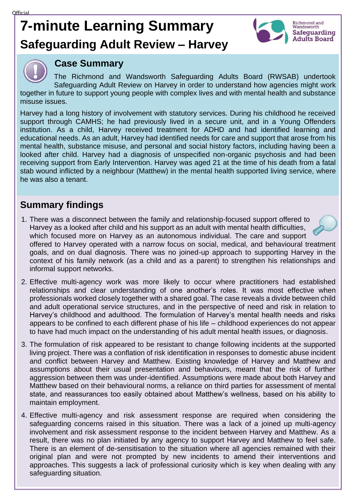# **7-minute Learning Summary Safeguarding Adult Review – Harvey**





### **Case Summary**

The Richmond and Wandsworth Safeguarding Adults Board (RWSAB) undertook Safeguarding Adult Review on Harvey in order to understand how agencies might work together in future to support young people with complex lives and with mental health and substance misuse issues.

Harvey had a long history of involvement with statutory services. During his childhood he received support through CAMHS; he had previously lived in a secure unit, and in a Young Offenders institution. As a child, Harvey received treatment for ADHD and had identified learning and educational needs. As an adult, Harvey had identified needs for care and support that arose from his mental health, substance misuse, and personal and social history factors, including having been a looked after child. Harvey had a diagnosis of unspecified non-organic psychosis and had been receiving support from Early Intervention. Harvey was aged 21 at the time of his death from a fatal stab wound inflicted by a neighbour (Matthew) in the mental health supported living service, where he was also a tenant.

## **Summary findings**

- 1. There was a disconnect between the family and relationship-focused support offered to Harvey as a looked after child and his support as an adult with mental health difficulties, which focused more on Harvey as an autonomous individual. The care and support offered to Harvey operated with a narrow focus on social, medical, and behavioural treatment goals, and on dual diagnosis. There was no joined-up approach to supporting Harvey in the context of his family network (as a child and as a parent) to strengthen his relationships and informal support networks.
- 2. Effective multi-agency work was more likely to occur where practitioners had established relationships and clear understanding of one another's roles. It was most effective when professionals worked closely together with a shared goal. The case reveals a divide between child and adult operational service structures, and in the perspective of need and risk in relation to Harvey's childhood and adulthood. The formulation of Harvey's mental health needs and risks appears to be confined to each different phase of his life – childhood experiences do not appear to have had much impact on the understanding of his adult mental health issues, or diagnosis.
- 3. The formulation of risk appeared to be resistant to change following incidents at the supported living project. There was a conflation of risk identification in responses to domestic abuse incident and conflict between Harvey and Matthew. Existing knowledge of Harvey and Matthew and assumptions about their usual presentation and behaviours, meant that the risk of further aggression between them was under-identified. Assumptions were made about both Harvey and Matthew based on their behavioural norms, a reliance on third parties for assessment of mental state, and reassurances too easily obtained about Matthew's wellness, based on his ability to maintain employment.
- 4. Effective multi-agency and risk assessment response are required when considering the safeguarding concerns raised in this situation. There was a lack of a joined up multi-agency involvement and risk assessment response to the incident between Harvey and Matthew. As a result, there was no plan initiated by any agency to support Harvey and Matthew to feel safe. There is an element of de-sensitisation to the situation where all agencies remained with their original plan and were not prompted by new incidents to amend their interventions and approaches. This suggests a lack of professional curiosity which is key when dealing with any safeguarding situation.